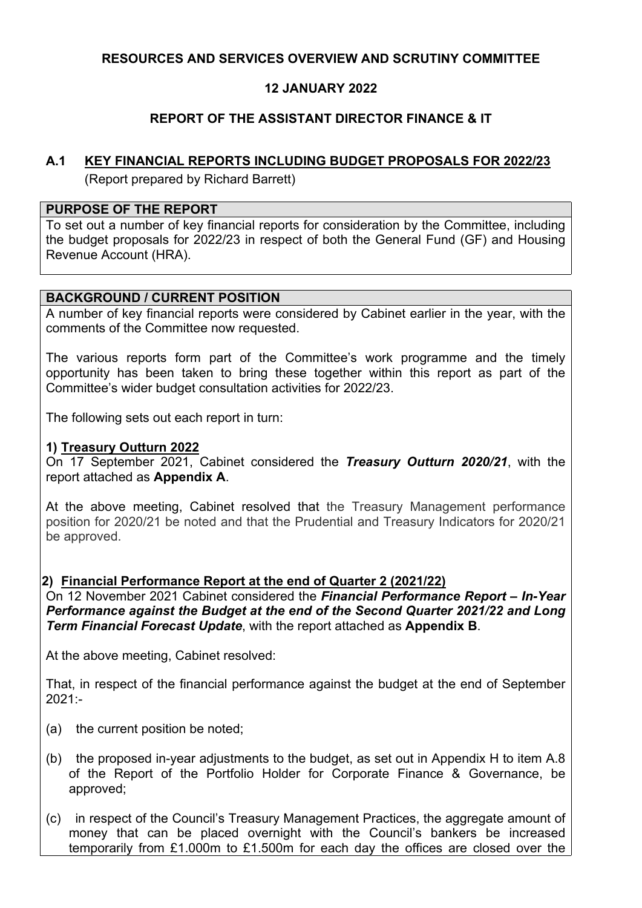#### **RESOURCES AND SERVICES OVERVIEW AND SCRUTINY COMMITTEE**

## **12 JANUARY 2022**

# **REPORT OF THE ASSISTANT DIRECTOR FINANCE & IT**

## **A.1 KEY FINANCIAL REPORTS INCLUDING BUDGET PROPOSALS FOR 2022/23**

(Report prepared by Richard Barrett)

#### **PURPOSE OF THE REPORT**

To set out a number of key financial reports for consideration by the Committee, including the budget proposals for 2022/23 in respect of both the General Fund (GF) and Housing Revenue Account (HRA).

## **BACKGROUND / CURRENT POSITION**

A number of key financial reports were considered by Cabinet earlier in the year, with the comments of the Committee now requested.

The various reports form part of the Committee's work programme and the timely opportunity has been taken to bring these together within this report as part of the Committee's wider budget consultation activities for 2022/23.

The following sets out each report in turn:

#### **1) Treasury Outturn 2022**

On 17 September 2021, Cabinet considered the *Treasury Outturn 2020/21*, with the report attached as **Appendix A**.

At the above meeting, Cabinet resolved that the Treasury Management performance position for 2020/21 be noted and that the Prudential and Treasury Indicators for 2020/21 be approved.

## **2) Financial Performance Report at the end of Quarter 2 (2021/22)**

On 12 November 2021 Cabinet considered the *Financial Performance Report – In-Year Performance against the Budget at the end of the Second Quarter 2021/22 and Long Term Financial Forecast Update*, with the report attached as **Appendix B**.

At the above meeting, Cabinet resolved:

That, in respect of the financial performance against the budget at the end of September  $2021 -$ 

- (a) the current position be noted;
- (b) the proposed in-year adjustments to the budget, as set out in Appendix H to item A.8 of the Report of the Portfolio Holder for Corporate Finance & Governance, be approved;
- (c) in respect of the Council's Treasury Management Practices, the aggregate amount of money that can be placed overnight with the Council's bankers be increased temporarily from £1.000m to £1.500m for each day the offices are closed over the